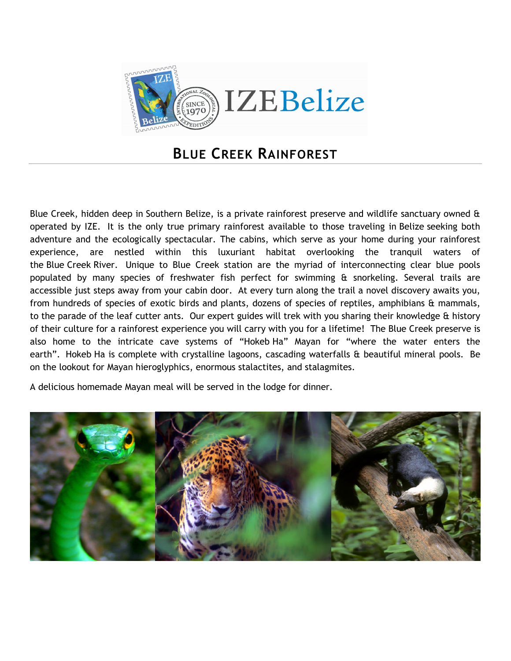

## **BLUE CREEK RAINFOREST**

Blue Creek, hidden deep in Southern Belize, is a private rainforest preserve and wildlife sanctuary owned & operated by IZE. It is the only true primary rainforest available to those traveling in Belize seeking both adventure and the ecologically spectacular. The cabins, which serve as your home during your rainforest experience, are nestled within this luxuriant habitat overlooking the tranquil waters of the Blue Creek River. Unique to Blue Creek station are the myriad of interconnecting clear blue pools populated by many species of freshwater fish perfect for swimming & snorkeling. Several trails are accessible just steps away from your cabin door. At every turn along the trail a novel discovery awaits you, from hundreds of species of exotic birds and plants, dozens of species of reptiles, amphibians & mammals, to the parade of the leaf cutter ants. Our expert guides will trek with you sharing their knowledge & history of their culture for a rainforest experience you will carry with you for a lifetime! The Blue Creek preserve is also home to the intricate cave systems of "Hokeb Ha" Mayan for "where the water enters the earth". Hokeb Ha is complete with crystalline lagoons, cascading waterfalls & beautiful mineral pools. Be on the lookout for Mayan hieroglyphics, enormous stalactites, and stalagmites.

A delicious homemade Mayan meal will be served in the lodge for dinner.

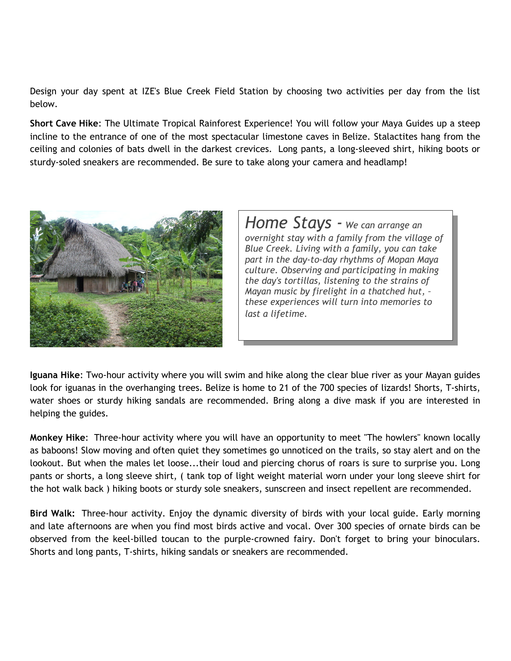Design your day spent at IZE's Blue Creek Field Station by choosing two activities per day from the list below.

**Short Cave Hike**: The Ultimate Tropical Rainforest Experience! You will follow your Maya Guides up a steep incline to the entrance of one of the most spectacular limestone caves in Belize. Stalactites hang from the ceiling and colonies of bats dwell in the darkest crevices. Long pants, a long-sleeved shirt, hiking boots or sturdy-soled sneakers are recommended. Be sure to take along your camera and headlamp!



*Home Stays - We can arrange an overnight stay with a family from the village of Blue Creek. Living with a family, you can take part in the day-to-day rhythms of Mopan Maya culture. Observing and participating in making the day's tortillas, listening to the strains of Mayan music by firelight in a thatched hut, – these experiences will turn into memories to last a lifetime.*

**Iguana Hike**: Two-hour activity where you will swim and hike along the clear blue river as your Mayan guides look for iguanas in the overhanging trees. Belize is home to 21 of the 700 species of lizards! Shorts, T-shirts, water shoes or sturdy hiking sandals are recommended. Bring along a dive mask if you are interested in helping the guides.

**Monkey Hike**: Three-hour activity where you will have an opportunity to meet "The howlers" known locally as baboons! Slow moving and often quiet they sometimes go unnoticed on the trails, so stay alert and on the lookout. But when the males let loose...their loud and piercing chorus of roars is sure to surprise you. Long pants or shorts, a long sleeve shirt, ( tank top of light weight material worn under your long sleeve shirt for the hot walk back ) hiking boots or sturdy sole sneakers, sunscreen and insect repellent are recommended.

**Bird Walk:** Three-hour activity. Enjoy the dynamic diversity of birds with your local guide. Early morning and late afternoons are when you find most birds active and vocal. Over 300 species of ornate birds can be observed from the keel-billed toucan to the purple-crowned fairy. Don't forget to bring your binoculars. Shorts and long pants, T-shirts, hiking sandals or sneakers are recommended.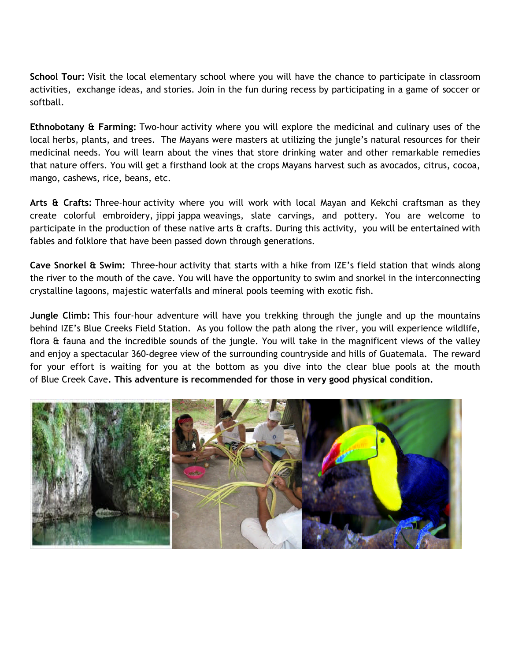**School Tour:** Visit the local elementary school where you will have the chance to participate in classroom activities, exchange ideas, and stories. Join in the fun during recess by participating in a game of soccer or softball.

**Ethnobotany & Farming:** Two-hour activity where you will explore the medicinal and culinary uses of the local herbs, plants, and trees. The Mayans were masters at utilizing the jungle's natural resources for their medicinal needs. You will learn about the vines that store drinking water and other remarkable remedies that nature offers. You will get a firsthand look at the crops Mayans harvest such as avocados, citrus, cocoa, mango, cashews, rice, beans, etc.

**Arts & Crafts:** Three-hour activity where you will work with local Mayan and Kekchi craftsman as they create colorful embroidery, jippi jappa weavings, slate carvings, and pottery. You are welcome to participate in the production of these native arts  $\hat{a}$  crafts. During this activity, you will be entertained with fables and folklore that have been passed down through generations.

**Cave Snorkel & Swim:** Three-hour activity that starts with a hike from IZE's field station that winds along the river to the mouth of the cave. You will have the opportunity to swim and snorkel in the interconnecting crystalline lagoons, majestic waterfalls and mineral pools teeming with exotic fish.

**Jungle Climb:** This four-hour adventure will have you trekking through the jungle and up the mountains behind IZE's Blue Creeks Field Station. As you follow the path along the river, you will experience wildlife, flora & fauna and the incredible sounds of the jungle. You will take in the magnificent views of the valley and enjoy a spectacular 360-degree view of the surrounding countryside and hills of Guatemala. The reward for your effort is waiting for you at the bottom as you dive into the clear blue pools at the mouth of Blue Creek Cave**. This adventure is recommended for those in very good physical condition.**